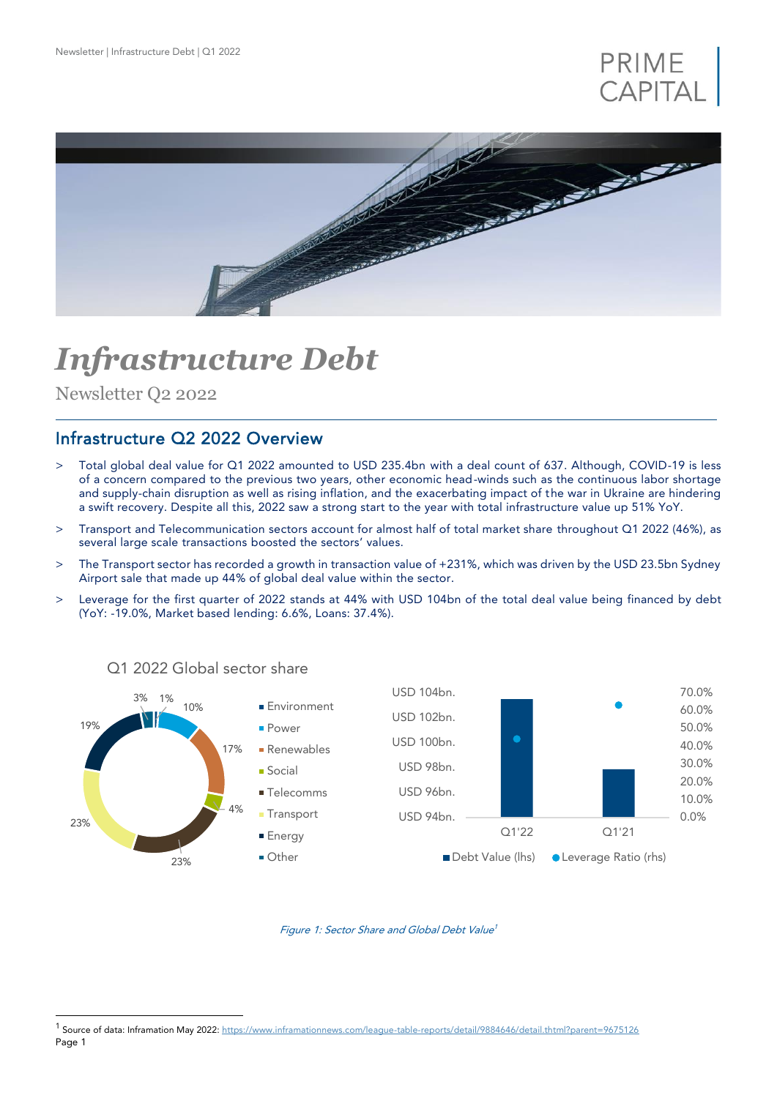



# *Infrastructure Debt*

Newsletter Q2 2022

l

## Infrastructure Q2 2022 Overview

- > Total global deal value for Q1 2022 amounted to USD 235.4bn with a deal count of 637. Although, COVID-19 is less of a concern compared to the previous two years, other economic head-winds such as the continuous labor shortage and supply-chain disruption as well as rising inflation, and the exacerbating impact of the war in Ukraine are hindering a swift recovery. Despite all this, 2022 saw a strong start to the year with total infrastructure value up 51% YoY.
- > Transport and Telecommunication sectors account for almost half of total market share throughout Q1 2022 (46%), as several large scale transactions boosted the sectors' values.
- > The Transport sector has recorded a growth in transaction value of +231%, which was driven by the USD 23.5bn Sydney Airport sale that made up 44% of global deal value within the sector.
- > Leverage for the first quarter of 2022 stands at 44% with USD 104bn of the total deal value being financed by debt (YoY: -19.0%, Market based lending: 6.6%, Loans: 37.4%).



## Q1 2022 Global sector share

Figure 1: Sector Share and Global Debt Value 1

Page 1 <sup>1</sup> Source of data: Inframation May 2022[: https://www.inframationnews.com/league-table-reports/detail/9884646/detail.thtml?parent=9675126](https://www.inframationnews.com/league-table-reports/detail/9884646/detail.thtml?parent=9675126)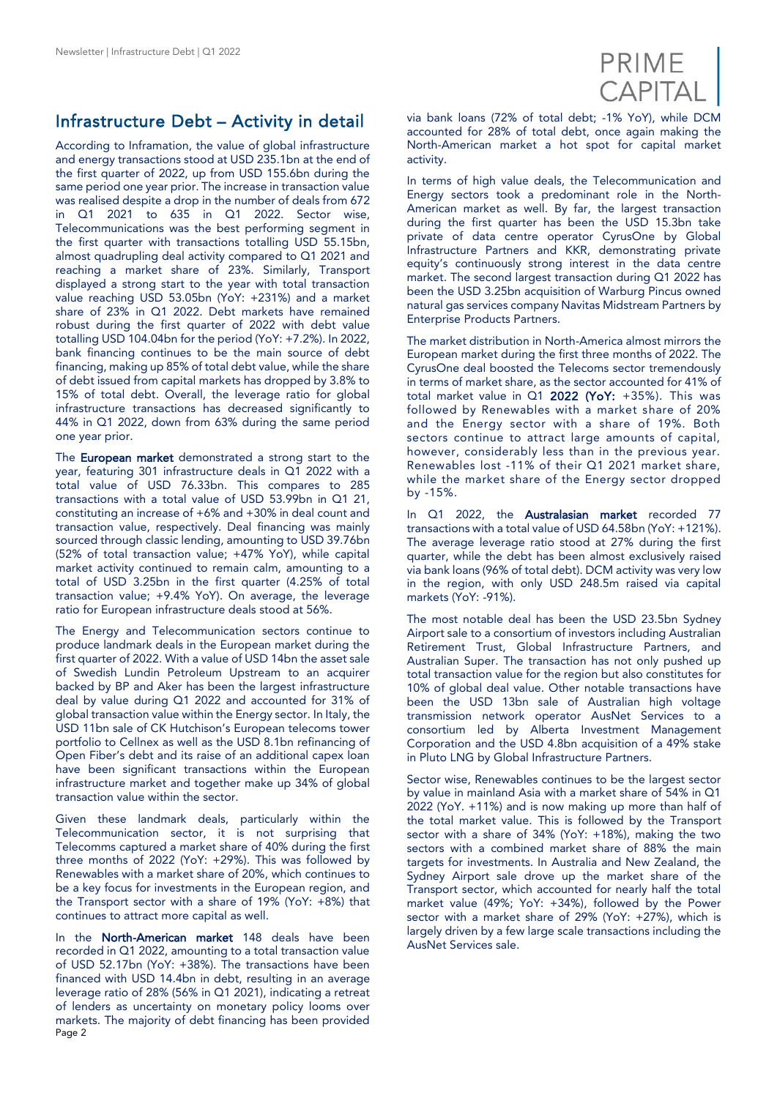# Infrastructure Debt – Activity in detail

According to Inframation, the value of global infrastructure and energy transactions stood at USD 235.1bn at the end of the first quarter of 2022, up from USD 155.6bn during the same period one year prior. The increase in transaction value was realised despite a drop in the number of deals from 672 in Q1 2021 to 635 in Q1 2022. Sector wise, Telecommunications was the best performing segment in the first quarter with transactions totalling USD 55.15bn, almost quadrupling deal activity compared to Q1 2021 and reaching a market share of 23%. Similarly, Transport displayed a strong start to the year with total transaction value reaching USD 53.05bn (YoY: +231%) and a market share of 23% in Q1 2022. Debt markets have remained robust during the first quarter of 2022 with debt value totalling USD 104.04bn for the period (YoY: +7.2%). In 2022, bank financing continues to be the main source of debt financing, making up 85% of total debt value, while the share of debt issued from capital markets has dropped by 3.8% to 15% of total debt. Overall, the leverage ratio for global infrastructure transactions has decreased significantly to 44% in Q1 2022, down from 63% during the same period one year prior.

The **European market** demonstrated a strong start to the year, featuring 301 infrastructure deals in Q1 2022 with a total value of USD 76.33bn. This compares to 285 transactions with a total value of USD 53.99bn in Q1 21, constituting an increase of +6% and +30% in deal count and transaction value, respectively. Deal financing was mainly sourced through classic lending, amounting to USD 39.76bn (52% of total transaction value; +47% YoY), while capital market activity continued to remain calm, amounting to a total of USD 3.25bn in the first quarter (4.25% of total transaction value; +9.4% YoY). On average, the leverage ratio for European infrastructure deals stood at 56%.

The Energy and Telecommunication sectors continue to produce landmark deals in the European market during the first quarter of 2022. With a value of USD 14bn the asset sale of Swedish Lundin Petroleum Upstream to an acquirer backed by BP and Aker has been the largest infrastructure deal by value during Q1 2022 and accounted for 31% of global transaction value within the Energy sector. In Italy, the USD 11bn sale of CK Hutchison's European telecoms tower portfolio to Cellnex as well as the USD 8.1bn refinancing of Open Fiber's debt and its raise of an additional capex loan have been significant transactions within the European infrastructure market and together make up 34% of global transaction value within the sector.

Given these landmark deals, particularly within the Telecommunication sector, it is not surprising that Telecomms captured a market share of 40% during the first three months of 2022 (YoY: +29%). This was followed by Renewables with a market share of 20%, which continues to be a key focus for investments in the European region, and the Transport sector with a share of 19% (YoY: +8%) that continues to attract more capital as well.

Page 2 In the North-American market 148 deals have been recorded in Q1 2022, amounting to a total transaction value of USD 52.17bn (YoY: +38%). The transactions have been financed with USD 14.4bn in debt, resulting in an average leverage ratio of 28% (56% in Q1 2021), indicating a retreat of lenders as uncertainty on monetary policy looms over markets. The majority of debt financing has been provided



via bank loans (72% of total debt; -1% YoY), while DCM accounted for 28% of total debt, once again making the North-American market a hot spot for capital market activity.

In terms of high value deals, the Telecommunication and Energy sectors took a predominant role in the North-American market as well. By far, the largest transaction during the first quarter has been the USD 15.3bn take private of data centre operator CyrusOne by Global Infrastructure Partners and KKR, demonstrating private equity's continuously strong interest in the data centre market. The second largest transaction during Q1 2022 has been the USD 3.25bn acquisition of Warburg Pincus owned natural gas services company Navitas Midstream Partners by Enterprise Products Partners.

The market distribution in North-America almost mirrors the European market during the first three months of 2022. The CyrusOne deal boosted the Telecoms sector tremendously in terms of market share, as the sector accounted for 41% of total market value in  $Q1$  2022 (YoY: +35%). This was followed by Renewables with a market share of 20% and the Energy sector with a share of 19%. Both sectors continue to attract large amounts of capital, however, considerably less than in the previous year. Renewables lost -11% of their Q1 2021 market share, while the market share of the Energy sector dropped by -15%.

In Q1 2022, the Australasian market recorded 77 transactions with a total value of USD 64.58bn (YoY: +121%). The average leverage ratio stood at 27% during the first quarter, while the debt has been almost exclusively raised via bank loans (96% of total debt). DCM activity was very low in the region, with only USD 248.5m raised via capital markets (YoY: -91%).

The most notable deal has been the USD 23.5bn Sydney Airport sale to a consortium of investors including Australian Retirement Trust, Global Infrastructure Partners, and Australian Super. The transaction has not only pushed up total transaction value for the region but also constitutes for 10% of global deal value. Other notable transactions have been the USD 13bn sale of Australian high voltage transmission network operator AusNet Services to a consortium led by Alberta Investment Management Corporation and the USD 4.8bn acquisition of a 49% stake in Pluto LNG by Global Infrastructure Partners.

Sector wise, Renewables continues to be the largest sector by value in mainland Asia with a market share of 54% in Q1 2022 (YoY. +11%) and is now making up more than half of the total market value. This is followed by the Transport sector with a share of 34% (YoY: +18%), making the two sectors with a combined market share of 88% the main targets for investments. In Australia and New Zealand, the Sydney Airport sale drove up the market share of the Transport sector, which accounted for nearly half the total market value (49%; YoY: +34%), followed by the Power sector with a market share of 29% (YoY: +27%), which is largely driven by a few large scale transactions including the AusNet Services sale.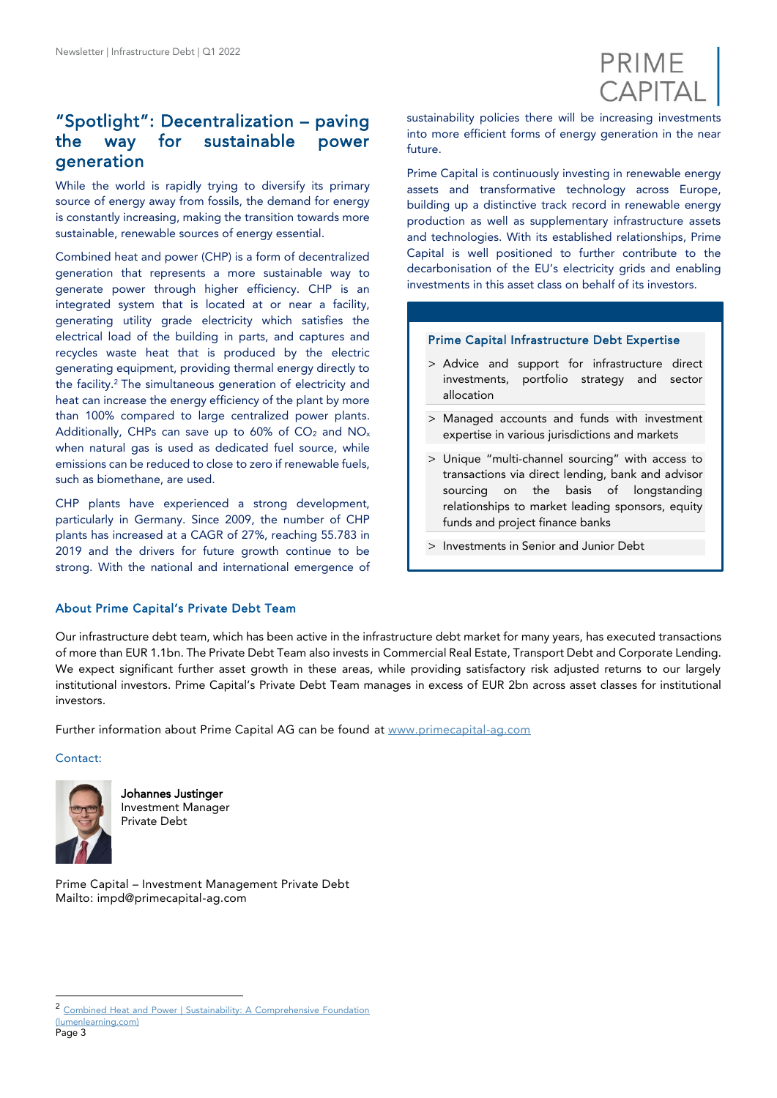

## "Spotlight": Decentralization – paving the way for sustainable power generation

While the world is rapidly trying to diversify its primary source of energy away from fossils, the demand for energy is constantly increasing, making the transition towards more sustainable, renewable sources of energy essential.

Combined heat and power (CHP) is a form of decentralized generation that represents a more sustainable way to generate power through higher efficiency. CHP is an integrated system that is located at or near a facility, generating utility grade electricity which satisfies the electrical load of the building in parts, and captures and recycles waste heat that is produced by the electric generating equipment, providing thermal energy directly to the facility.<sup>2</sup> The simultaneous generation of electricity and heat can increase the energy efficiency of the plant by more than 100% compared to large centralized power plants. Additionally, CHPs can save up to 60% of  $CO<sub>2</sub>$  and  $NO<sub>x</sub>$ when natural gas is used as dedicated fuel source, while emissions can be reduced to close to zero if renewable fuels, such as biomethane, are used.

CHP plants have experienced a strong development, particularly in Germany. Since 2009, the number of CHP plants has increased at a CAGR of 27%, reaching 55.783 in 2019 and the drivers for future growth continue to be strong. With the national and international emergence of sustainability policies there will be increasing investments into more efficient forms of energy generation in the near future.

Prime Capital is continuously investing in renewable energy assets and transformative technology across Europe, building up a distinctive track record in renewable energy production as well as supplementary infrastructure assets and technologies. With its established relationships, Prime Capital is well positioned to further contribute to the decarbonisation of the EU's electricity grids and enabling investments in this asset class on behalf of its investors.

#### Prime Capital Infrastructure Debt Expertise

- > Advice and support for infrastructure direct investments, portfolio strategy and sector allocation
- > Managed accounts and funds with investment expertise in various jurisdictions and markets
- > Unique "multi-channel sourcing" with access to transactions via direct lending, bank and advisor sourcing on the basis of longstanding relationships to market leading sponsors, equity funds and project finance banks
- > Investments in Senior and Junior Debt

### About Prime Capital's Private Debt Team

Our infrastructure debt team, which has been active in the infrastructure debt market for many years, has executed transactions of more than EUR 1.1bn. The Private Debt Team also invests in Commercial Real Estate, Transport Debt and Corporate Lending. We expect significant further asset growth in these areas, while providing satisfactory risk adjusted returns to our largely institutional investors. Prime Capital's Private Debt Team manages in excess of EUR 2bn across asset classes for institutional investors

Further information about Prime Capital AG can be found at [www.primecapital-ag.com](http://www.primecapital-ag.com/)

#### Contact:



Johannes Justinger Investment Manager Private Debt

Prime Capital – Investment Management Private Debt Mailto: impd@primecapital-ag.com

l

<sup>2</sup> [Combined Heat and Power | Sustainability: A Comprehensive Foundation](https://courses.lumenlearning.com/suny-sustainability-a-comprehensive-foundation/chapter/combined-heat-and-power/?msclkid=e231c4f7d13f11eca0c21e1ebf625c83)  [\(lumenlearning.com\)](https://courses.lumenlearning.com/suny-sustainability-a-comprehensive-foundation/chapter/combined-heat-and-power/?msclkid=e231c4f7d13f11eca0c21e1ebf625c83)